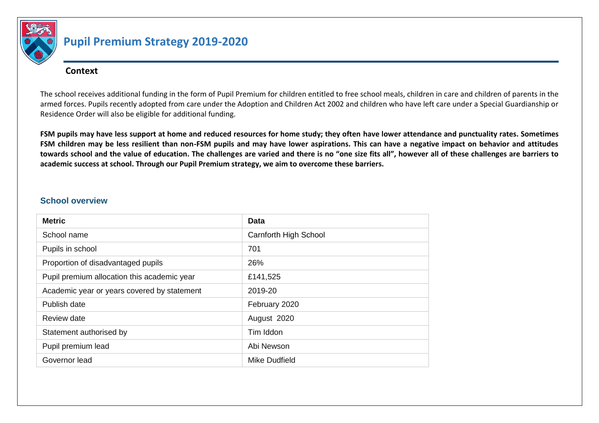

# **Pupil Premium Strategy 2019-2020**

#### **Context**

The school receives additional funding in the form of Pupil Premium for children entitled to free school meals, children in care and children of parents in the armed forces. Pupils recently adopted from care under the Adoption and Children Act 2002 and children who have left care under a Special Guardianship or Residence Order will also be eligible for additional funding.

**FSM pupils may have less support at home and reduced resources for home study; they often have lower attendance and punctuality rates. Sometimes FSM children may be less resilient than non-FSM pupils and may have lower aspirations. This can have a negative impact on behavior and attitudes towards school and the value of education. The challenges are varied and there is no "one size fits all", however all of these challenges are barriers to academic success at school. Through our Pupil Premium strategy, we aim to overcome these barriers.** 

#### **School overview**

| <b>Metric</b>                               | Data                         |
|---------------------------------------------|------------------------------|
| School name                                 | <b>Carnforth High School</b> |
| Pupils in school                            | 701                          |
| Proportion of disadvantaged pupils          | 26%                          |
| Pupil premium allocation this academic year | £141,525                     |
| Academic year or years covered by statement | 2019-20                      |
| Publish date                                | February 2020                |
| Review date                                 | August 2020                  |
| Statement authorised by                     | Tim Iddon                    |
| Pupil premium lead                          | Abi Newson                   |
| Governor lead                               | Mike Dudfield                |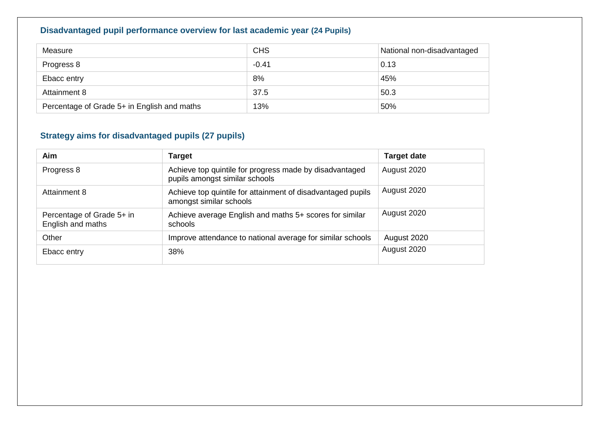### **Disadvantaged pupil performance overview for last academic year (24 Pupils)**

| Measure                                     | <b>CHS</b> | National non-disadvantaged |
|---------------------------------------------|------------|----------------------------|
| Progress 8                                  | $-0.41$    | 0.13                       |
| Ebacc entry                                 | 8%         | 45%                        |
| Attainment 8                                | 37.5       | 50.3                       |
| Percentage of Grade 5+ in English and maths | 13%        | 50%                        |

### **Strategy aims for disadvantaged pupils (27 pupils)**

| Aim                                            | <b>Target</b>                                                                             | <b>Target date</b> |
|------------------------------------------------|-------------------------------------------------------------------------------------------|--------------------|
| Progress 8                                     | Achieve top quintile for progress made by disadvantaged<br>pupils amongst similar schools | August 2020        |
| Attainment 8                                   | Achieve top quintile for attainment of disadvantaged pupils<br>amongst similar schools    | August 2020        |
| Percentage of Grade 5+ in<br>English and maths | Achieve average English and maths 5+ scores for similar<br>schools                        | August 2020        |
| Other                                          | Improve attendance to national average for similar schools                                | August 2020        |
| Ebacc entry                                    | 38%                                                                                       | August 2020        |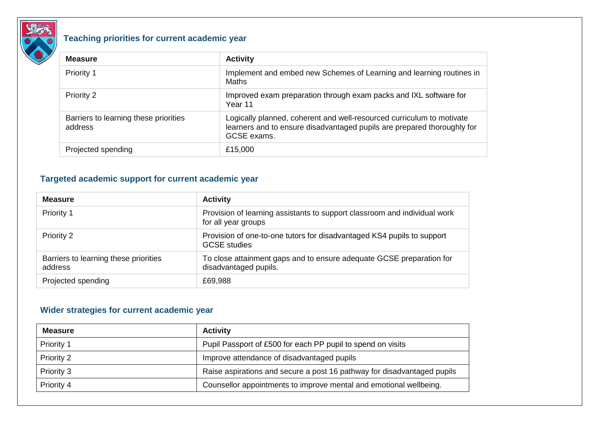

## **Teaching priorities for current academic year**

| <b>Measure</b>                                   | <b>Activity</b>                                                                                                                                                 |
|--------------------------------------------------|-----------------------------------------------------------------------------------------------------------------------------------------------------------------|
| Priority 1                                       | Implement and embed new Schemes of Learning and learning routines in<br>Maths                                                                                   |
| Priority 2                                       | Improved exam preparation through exam packs and IXL software for<br>Year 11                                                                                    |
| Barriers to learning these priorities<br>address | Logically planned, coherent and well-resourced curriculum to motivate<br>learners and to ensure disadvantaged pupils are prepared thoroughly for<br>GCSE exams. |
| Projected spending                               | £15,000                                                                                                                                                         |

### **Targeted academic support for current academic year**

| <b>Measure</b>                                   | <b>Activity</b>                                                                                  |
|--------------------------------------------------|--------------------------------------------------------------------------------------------------|
| Priority 1                                       | Provision of learning assistants to support classroom and individual work<br>for all year groups |
| Priority 2                                       | Provision of one-to-one tutors for disadvantaged KS4 pupils to support<br><b>GCSE</b> studies    |
| Barriers to learning these priorities<br>address | To close attainment gaps and to ensure adequate GCSE preparation for<br>disadvantaged pupils.    |
| Projected spending                               | £69,988                                                                                          |

#### **Wider strategies for current academic year**

| <b>Measure</b>    | <b>Activity</b>                                                         |  |
|-------------------|-------------------------------------------------------------------------|--|
| <b>Priority 1</b> | Pupil Passport of £500 for each PP pupil to spend on visits             |  |
| Priority 2        | Improve attendance of disadvantaged pupils                              |  |
| Priority 3        | Raise aspirations and secure a post 16 pathway for disadvantaged pupils |  |
| Priority 4        | Counsellor appointments to improve mental and emotional wellbeing.      |  |